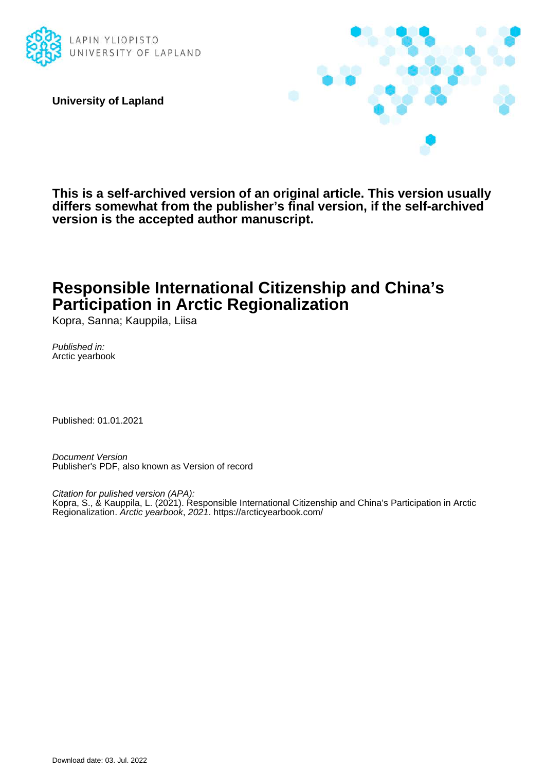

**University of Lapland**



**This is a self-archived version of an original article. This version usually differs somewhat from the publisher's final version, if the self-archived version is the accepted author manuscript.**

# **Responsible International Citizenship and China's Participation in Arctic Regionalization**

Kopra, Sanna; Kauppila, Liisa

Published in: Arctic yearbook

Published: 01.01.2021

Document Version Publisher's PDF, also known as Version of record

Citation for pulished version (APA): Kopra, S., & Kauppila, L. (2021). Responsible International Citizenship and China's Participation in Arctic Regionalization. Arctic yearbook, 2021.<https://arcticyearbook.com/>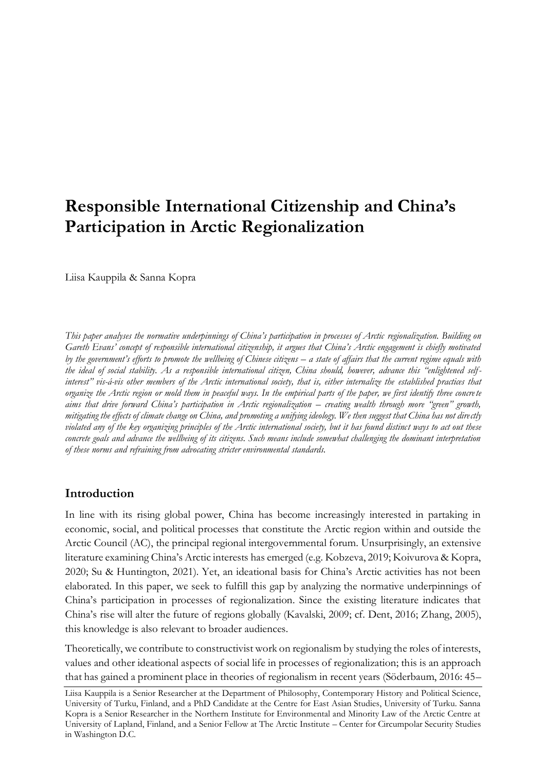# **Responsible International Citizenship and China's Participation in Arctic Regionalization**

Liisa Kauppila & Sanna Kopra

*This paper analyses the normative underpinnings of China's participation in processes of Arctic regionalization. Building on Gareth Evans' concept of responsible international citizenship, it argues that China's Arctic engagement is chiefly motivated by the government's efforts to promote the wellbeing of Chinese citizens – a state of affairs that the current regime equals with the ideal of social stability. As a responsible international citizen, China should, however, advance this "enlightened selfinterest" vis-á-vis other members of the Arctic international society, that is, either internalize the established practices that organize the Arctic region or mold them in peaceful ways. In the empirical parts of the paper, we first identify three concrete aims that drive forward China's participation in Arctic regionalization – creating wealth through more "green" growth, mitigating the effects of climate change on China, and promoting a unifying ideology. We then suggest that China has not directly violated any of the key organizing principles of the Arctic international society, but it has found distinct ways to act out these concrete goals and advance the wellbeing of its citizens. Such means include somewhat challenging the dominant interpretation of these norms and refraining from advocating stricter environmental standards.*

## **Introduction**

In line with its rising global power, China has become increasingly interested in partaking in economic, social, and political processes that constitute the Arctic region within and outside the Arctic Council (AC), the principal regional intergovernmental forum. Unsurprisingly, an extensive literature examining China's Arctic interests has emerged (e.g. Kobzeva, 2019; Koivurova & Kopra, 2020; Su & Huntington, 2021). Yet, an ideational basis for China's Arctic activities has not been elaborated. In this paper, we seek to fulfill this gap by analyzing the normative underpinnings of China's participation in processes of regionalization. Since the existing literature indicates that China's rise will alter the future of regions globally (Kavalski, 2009; cf. Dent, 2016; Zhang, 2005), this knowledge is also relevant to broader audiences.

Theoretically, we contribute to constructivist work on regionalism by studying the roles of interests, values and other ideational aspects of social life in processes of regionalization; this is an approach that has gained a prominent place in theories of regionalism in recent years (Söderbaum, 2016: 45–

Liisa Kauppila is a Senior Researcher at the Department of Philosophy, Contemporary History and Political Science, University of Turku, Finland, and a PhD Candidate at the Centre for East Asian Studies, University of Turku. Sanna Kopra is a Senior Researcher in the Northern Institute for Environmental and Minority Law of the Arctic Centre at University of Lapland, Finland, and a Senior Fellow at The Arctic Institute – Center for Circumpolar Security Studies in Washington D.C.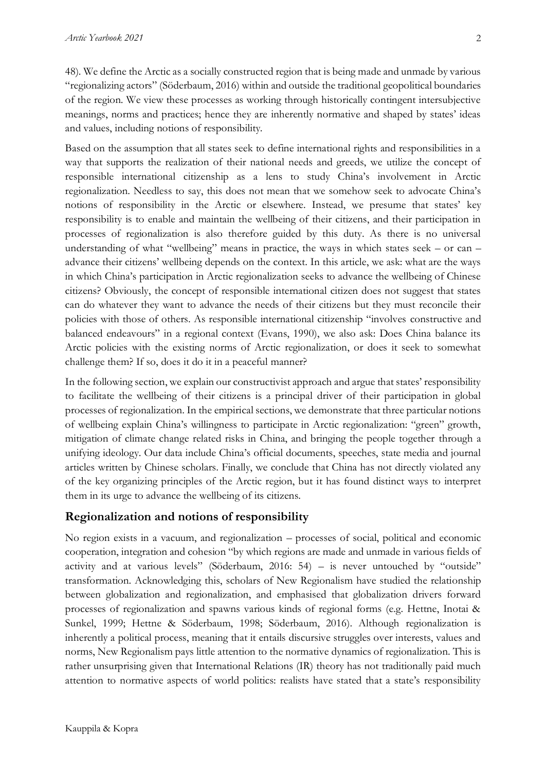48). We define the Arctic as a socially constructed region that is being made and unmade by various "regionalizing actors" (Söderbaum, 2016) within and outside the traditional geopolitical boundaries of the region. We view these processes as working through historically contingent intersubjective meanings, norms and practices; hence they are inherently normative and shaped by states' ideas and values, including notions of responsibility.

Based on the assumption that all states seek to define international rights and responsibilities in a way that supports the realization of their national needs and greeds, we utilize the concept of responsible international citizenship as a lens to study China's involvement in Arctic regionalization. Needless to say, this does not mean that we somehow seek to advocate China's notions of responsibility in the Arctic or elsewhere. Instead, we presume that states' key responsibility is to enable and maintain the wellbeing of their citizens, and their participation in processes of regionalization is also therefore guided by this duty. As there is no universal understanding of what "wellbeing" means in practice, the ways in which states seek – or can – advance their citizens' wellbeing depends on the context. In this article, we ask: what are the ways in which China's participation in Arctic regionalization seeks to advance the wellbeing of Chinese citizens? Obviously, the concept of responsible international citizen does not suggest that states can do whatever they want to advance the needs of their citizens but they must reconcile their policies with those of others. As responsible international citizenship "involves constructive and balanced endeavours" in a regional context (Evans, 1990), we also ask: Does China balance its Arctic policies with the existing norms of Arctic regionalization, or does it seek to somewhat challenge them? If so, does it do it in a peaceful manner?

In the following section, we explain our constructivist approach and argue that states' responsibility to facilitate the wellbeing of their citizens is a principal driver of their participation in global processes of regionalization. In the empirical sections, we demonstrate that three particular notions of wellbeing explain China's willingness to participate in Arctic regionalization: "green" growth, mitigation of climate change related risks in China, and bringing the people together through a unifying ideology. Our data include China's official documents, speeches, state media and journal articles written by Chinese scholars. Finally, we conclude that China has not directly violated any of the key organizing principles of the Arctic region, but it has found distinct ways to interpret them in its urge to advance the wellbeing of its citizens.

## **Regionalization and notions of responsibility**

No region exists in a vacuum, and regionalization – processes of social, political and economic cooperation, integration and cohesion "by which regions are made and unmade in various fields of activity and at various levels" (Söderbaum, 2016: 54) – is never untouched by "outside" transformation. Acknowledging this, scholars of New Regionalism have studied the relationship between globalization and regionalization, and emphasised that globalization drivers forward processes of regionalization and spawns various kinds of regional forms (e.g. Hettne, Inotai & Sunkel, 1999; Hettne & Söderbaum, 1998; Söderbaum, 2016). Although regionalization is inherently a political process, meaning that it entails discursive struggles over interests, values and norms, New Regionalism pays little attention to the normative dynamics of regionalization. This is rather unsurprising given that International Relations (IR) theory has not traditionally paid much attention to normative aspects of world politics: realists have stated that a state's responsibility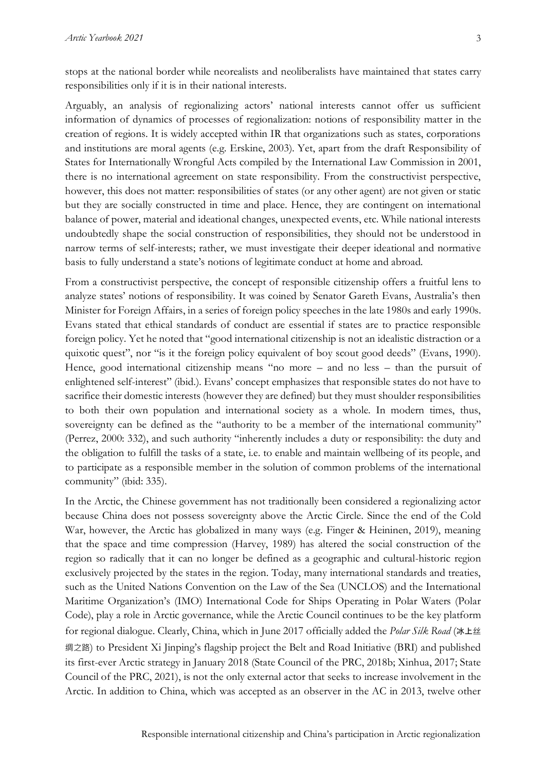stops at the national border while neorealists and neoliberalists have maintained that states carry responsibilities only if it is in their national interests.

Arguably, an analysis of regionalizing actors' national interests cannot offer us sufficient information of dynamics of processes of regionalization: notions of responsibility matter in the creation of regions. It is widely accepted within IR that organizations such as states, corporations and institutions are moral agents (e.g. Erskine, 2003). Yet, apart from the draft Responsibility of States for Internationally Wrongful Acts compiled by the International Law Commission in 2001, there is no international agreement on state responsibility. From the constructivist perspective, however, this does not matter: responsibilities of states (or any other agent) are not given or static but they are socially constructed in time and place. Hence, they are contingent on international balance of power, material and ideational changes, unexpected events, etc. While national interests undoubtedly shape the social construction of responsibilities, they should not be understood in narrow terms of self-interests; rather, we must investigate their deeper ideational and normative basis to fully understand a state's notions of legitimate conduct at home and abroad.

From a constructivist perspective, the concept of responsible citizenship offers a fruitful lens to analyze states' notions of responsibility. It was coined by Senator Gareth Evans, Australia's then Minister for Foreign Affairs, in a series of foreign policy speeches in the late 1980s and early 1990s. Evans stated that ethical standards of conduct are essential if states are to practice responsible foreign policy. Yet he noted that "good international citizenship is not an idealistic distraction or a quixotic quest", nor "is it the foreign policy equivalent of boy scout good deeds" (Evans, 1990). Hence, good international citizenship means "no more – and no less – than the pursuit of enlightened self-interest" (ibid.). Evans' concept emphasizes that responsible states do not have to sacrifice their domestic interests (however they are defined) but they must shoulder responsibilities to both their own population and international society as a whole. In modern times, thus, sovereignty can be defined as the "authority to be a member of the international community" (Perrez, 2000: 332), and such authority "inherently includes a duty or responsibility: the duty and the obligation to fulfill the tasks of a state, i.e. to enable and maintain wellbeing of its people, and to participate as a responsible member in the solution of common problems of the international community" (ibid: 335).

In the Arctic, the Chinese government has not traditionally been considered a regionalizing actor because China does not possess sovereignty above the Arctic Circle. Since the end of the Cold War, however, the Arctic has globalized in many ways (e.g. Finger & Heininen, 2019), meaning that the space and time compression (Harvey, 1989) has altered the social construction of the region so radically that it can no longer be defined as a geographic and cultural-historic region exclusively projected by the states in the region. Today, many international standards and treaties, such as the United Nations Convention on the Law of the Sea (UNCLOS) and the International Maritime Organization's (IMO) International Code for Ships Operating in Polar Waters (Polar Code), play a role in Arctic governance, while the Arctic Council continues to be the key platform for regional dialogue. Clearly, China, which in June 2017 officially added the *Polar Silk Road* (冰上丝 绸之路) to President Xi Jinping's flagship project the Belt and Road Initiative (BRI) and published its first-ever Arctic strategy in January 2018 (State Council of the PRC, 2018b; Xinhua, 2017; State Council of the PRC, 2021), is not the only external actor that seeks to increase involvement in the Arctic. In addition to China, which was accepted as an observer in the AC in 2013, twelve other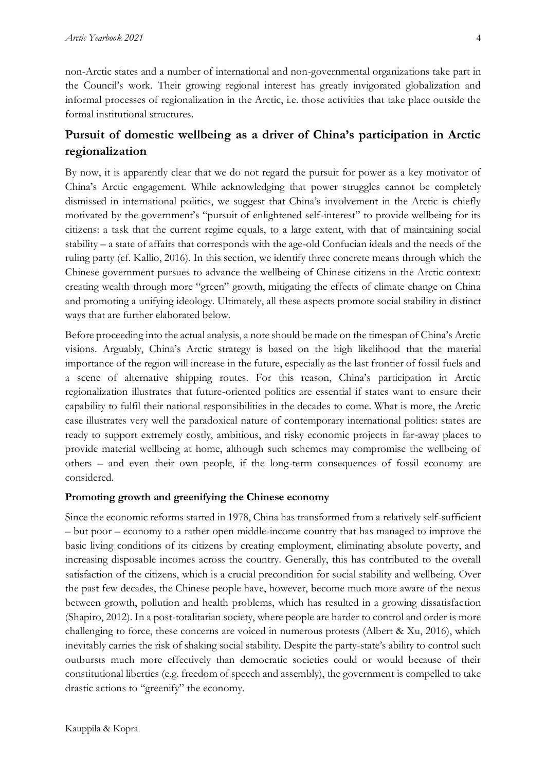non-Arctic states and a number of international and non-governmental organizations take part in the Council's work. Their growing regional interest has greatly invigorated globalization and informal processes of regionalization in the Arctic, i.e. those activities that take place outside the formal institutional structures.

# **Pursuit of domestic wellbeing as a driver of China's participation in Arctic regionalization**

By now, it is apparently clear that we do not regard the pursuit for power as a key motivator of China's Arctic engagement. While acknowledging that power struggles cannot be completely dismissed in international politics, we suggest that China's involvement in the Arctic is chiefly motivated by the government's "pursuit of enlightened self-interest" to provide wellbeing for its citizens: a task that the current regime equals, to a large extent, with that of maintaining social stability – a state of affairs that corresponds with the age-old Confucian ideals and the needs of the ruling party (cf. Kallio, 2016). In this section, we identify three concrete means through which the Chinese government pursues to advance the wellbeing of Chinese citizens in the Arctic context: creating wealth through more "green" growth, mitigating the effects of climate change on China and promoting a unifying ideology. Ultimately, all these aspects promote social stability in distinct ways that are further elaborated below.

Before proceeding into the actual analysis, a note should be made on the timespan of China's Arctic visions. Arguably, China's Arctic strategy is based on the high likelihood that the material importance of the region will increase in the future, especially as the last frontier of fossil fuels and a scene of alternative shipping routes. For this reason, China's participation in Arctic regionalization illustrates that future-oriented politics are essential if states want to ensure their capability to fulfil their national responsibilities in the decades to come. What is more, the Arctic case illustrates very well the paradoxical nature of contemporary international politics: states are ready to support extremely costly, ambitious, and risky economic projects in far-away places to provide material wellbeing at home, although such schemes may compromise the wellbeing of others – and even their own people, if the long-term consequences of fossil economy are considered.

#### **Promoting growth and greenifying the Chinese economy**

Since the economic reforms started in 1978, China has transformed from a relatively self-sufficient – but poor – economy to a rather open middle-income country that has managed to improve the basic living conditions of its citizens by creating employment, eliminating absolute poverty, and increasing disposable incomes across the country. Generally, this has contributed to the overall satisfaction of the citizens, which is a crucial precondition for social stability and wellbeing. Over the past few decades, the Chinese people have, however, become much more aware of the nexus between growth, pollution and health problems, which has resulted in a growing dissatisfaction (Shapiro, 2012). In a post-totalitarian society, where people are harder to control and order is more challenging to force, these concerns are voiced in numerous protests (Albert & Xu, 2016), which inevitably carries the risk of shaking social stability. Despite the party-state's ability to control such outbursts much more effectively than democratic societies could or would because of their constitutional liberties (e.g. freedom of speech and assembly), the government is compelled to take drastic actions to "greenify" the economy.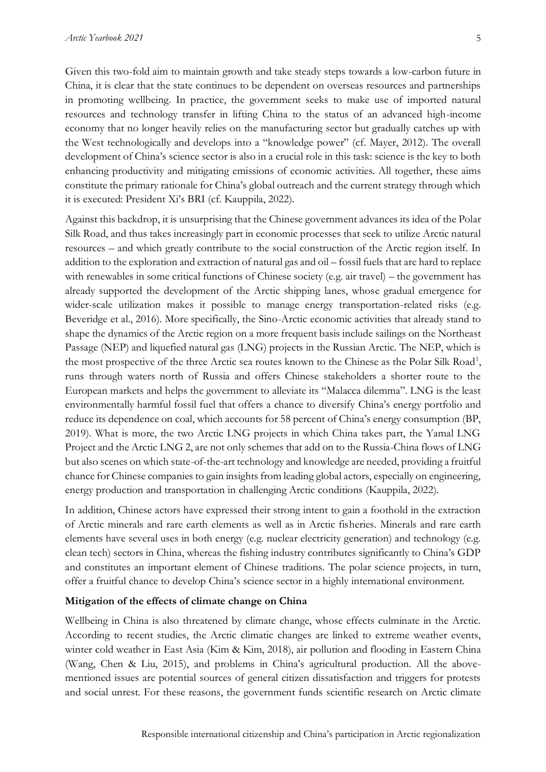Given this two-fold aim to maintain growth and take steady steps towards a low-carbon future in China, it is clear that the state continues to be dependent on overseas resources and partnerships in promoting wellbeing. In practice, the government seeks to make use of imported natural resources and technology transfer in lifting China to the status of an advanced high-income economy that no longer heavily relies on the manufacturing sector but gradually catches up with the West technologically and develops into a "knowledge power" (cf. Mayer, 2012). The overall development of China's science sector is also in a crucial role in this task: science is the key to both enhancing productivity and mitigating emissions of economic activities. All together, these aims constitute the primary rationale for China's global outreach and the current strategy through which it is executed: President Xi's BRI (cf. Kauppila, 2022).

Against this backdrop, it is unsurprising that the Chinese government advances its idea of the Polar Silk Road, and thus takes increasingly part in economic processes that seek to utilize Arctic natural resources – and which greatly contribute to the social construction of the Arctic region itself. In addition to the exploration and extraction of natural gas and oil – fossil fuels that are hard to replace with renewables in some critical functions of Chinese society (e.g. air travel) – the government has already supported the development of the Arctic shipping lanes, whose gradual emergence for wider-scale utilization makes it possible to manage energy transportation-related risks (e.g. Beveridge et al., 2016). More specifically, the Sino-Arctic economic activities that already stand to shape the dynamics of the Arctic region on a more frequent basis include sailings on the Northeast Passage (NEP) and liquefied natural gas (LNG) projects in the Russian Arctic. The NEP, which is the most prospective of the three Arctic sea routes known to the Chinese as the Polar Silk Road<sup>1</sup>, runs through waters north of Russia and offers Chinese stakeholders a shorter route to the European markets and helps the government to alleviate its "Malacca dilemma". LNG is the least environmentally harmful fossil fuel that offers a chance to diversify China's energy portfolio and reduce its dependence on coal, which accounts for 58 percent of China's energy consumption (BP, 2019). What is more, the two Arctic LNG projects in which China takes part, the Yamal LNG Project and the Arctic LNG 2, are not only schemes that add on to the Russia-China flows of LNG but also scenes on which state-of-the-art technology and knowledge are needed, providing a fruitful chance for Chinese companies to gain insights from leading global actors, especially on engineering, energy production and transportation in challenging Arctic conditions (Kauppila, 2022).

In addition, Chinese actors have expressed their strong intent to gain a foothold in the extraction of Arctic minerals and rare earth elements as well as in Arctic fisheries. Minerals and rare earth elements have several uses in both energy (e.g. nuclear electricity generation) and technology (e.g. clean tech) sectors in China, whereas the fishing industry contributes significantly to China's GDP and constitutes an important element of Chinese traditions. The polar science projects, in turn, offer a fruitful chance to develop China's science sector in a highly international environment.

#### **Mitigation of the effects of climate change on China**

Wellbeing in China is also threatened by climate change, whose effects culminate in the Arctic. According to recent studies, the Arctic climatic changes are linked to extreme weather events, winter cold weather in East Asia (Kim & Kim, 2018), air pollution and flooding in Eastern China (Wang, Chen & Liu, 2015), and problems in China's agricultural production. All the abovementioned issues are potential sources of general citizen dissatisfaction and triggers for protests and social unrest. For these reasons, the government funds scientific research on Arctic climate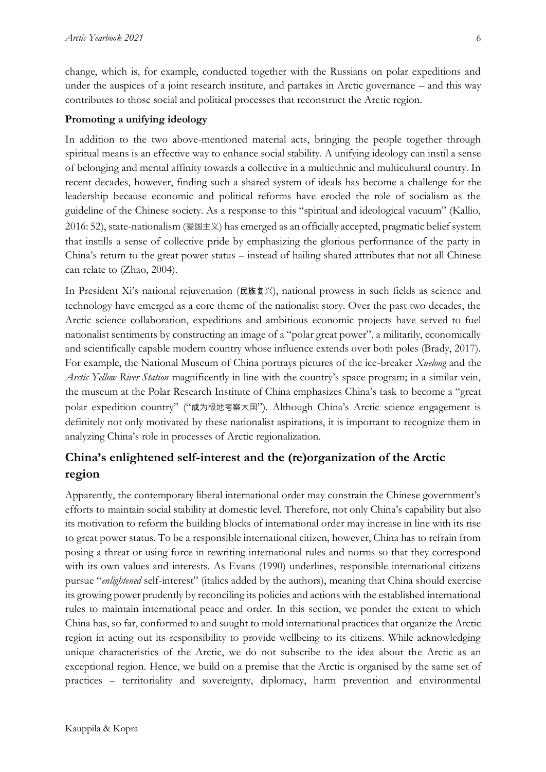change, which is, for example, conducted together with the Russians on polar expeditions and under the auspices of a joint research institute, and partakes in Arctic governance – and this way contributes to those social and political processes that reconstruct the Arctic region.

#### **Promoting a unifying ideology**

In addition to the two above-mentioned material acts, bringing the people together through spiritual means is an effective way to enhance social stability. A unifying ideology can instil a sense of belonging and mental affinity towards a collective in a multiethnic and multicultural country. In recent decades, however, finding such a shared system of ideals has become a challenge for the leadership because economic and political reforms have eroded the role of socialism as the guideline of the Chinese society. As a response to this "spiritual and ideological vacuum" (Kallio, 2016: 52), state-nationalism (爱国主义) has emerged as an officially accepted, pragmatic belief system that instills a sense of collective pride by emphasizing the glorious performance of the party in China's return to the great power status – instead of hailing shared attributes that not all Chinese can relate to (Zhao, 2004).

In President Xi's national rejuvenation (民族复兴), national prowess in such fields as science and technology have emerged as a core theme of the nationalist story. Over the past two decades, the Arctic science collaboration, expeditions and ambitious economic projects have served to fuel nationalist sentiments by constructing an image of a "polar great power", a militarily, economically and scientifically capable modern country whose influence extends over both poles (Brady, 2017). For example, the National Museum of China portrays pictures of the ice-breaker *Xuelong* and the *Arctic Yellow River Station* magnificently in line with the country's space program; in a similar vein, the museum at the Polar Research Institute of China emphasizes China's task to become a "great polar expedition country" ("成为极地考察大国"). Although China's Arctic science engagement is definitely not only motivated by these nationalist aspirations, it is important to recognize them in analyzing China's role in processes of Arctic regionalization.

## **China's enlightened self-interest and the (re)organization of the Arctic region**

Apparently, the contemporary liberal international order may constrain the Chinese government's efforts to maintain social stability at domestic level. Therefore, not only China's capability but also its motivation to reform the building blocks of international order may increase in line with its rise to great power status. To be a responsible international citizen, however, China has to refrain from posing a threat or using force in rewriting international rules and norms so that they correspond with its own values and interests. As Evans (1990) underlines, responsible international citizens pursue "*enlightened* self-interest" (italics added by the authors), meaning that China should exercise its growing power prudently by reconciling its policies and actions with the established international rules to maintain international peace and order. In this section, we ponder the extent to which China has, so far, conformed to and sought to mold international practices that organize the Arctic region in acting out its responsibility to provide wellbeing to its citizens. While acknowledging unique characteristics of the Arctic, we do not subscribe to the idea about the Arctic as an exceptional region. Hence, we build on a premise that the Arctic is organised by the same set of practices – territoriality and sovereignty, diplomacy, harm prevention and environmental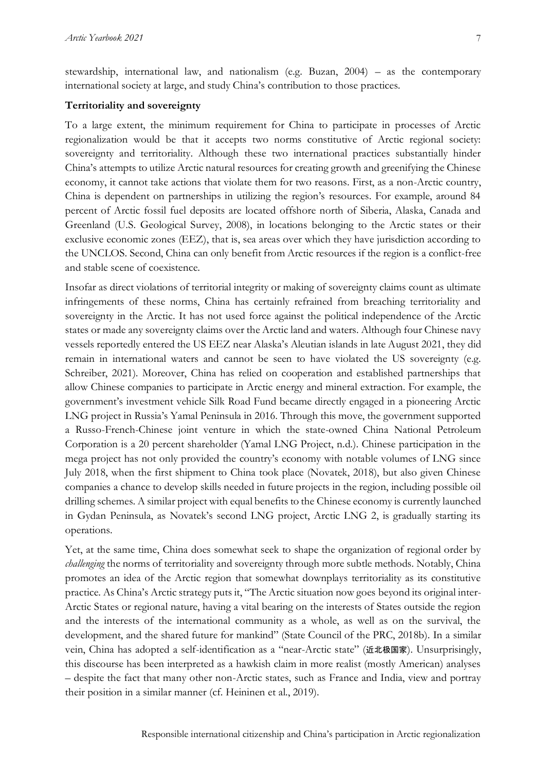stewardship, international law, and nationalism (e.g. Buzan, 2004) – as the contemporary international society at large, and study China's contribution to those practices.

#### **Territoriality and sovereignty**

To a large extent, the minimum requirement for China to participate in processes of Arctic regionalization would be that it accepts two norms constitutive of Arctic regional society: sovereignty and territoriality. Although these two international practices substantially hinder China's attempts to utilize Arctic natural resources for creating growth and greenifying the Chinese economy, it cannot take actions that violate them for two reasons. First, as a non-Arctic country, China is dependent on partnerships in utilizing the region's resources. For example, around 84 percent of Arctic fossil fuel deposits are located offshore north of Siberia, Alaska, Canada and Greenland (U.S. Geological Survey, 2008), in locations belonging to the Arctic states or their exclusive economic zones (EEZ), that is, sea areas over which they have jurisdiction according to the UNCLOS. Second, China can only benefit from Arctic resources if the region is a conflict-free and stable scene of coexistence.

Insofar as direct violations of territorial integrity or making of sovereignty claims count as ultimate infringements of these norms, China has certainly refrained from breaching territoriality and sovereignty in the Arctic. It has not used force against the political independence of the Arctic states or made any sovereignty claims over the Arctic land and waters. Although four Chinese navy vessels reportedly entered the US EEZ near Alaska's Aleutian islands in late August 2021, they did remain in international waters and cannot be seen to have violated the US sovereignty (e.g. Schreiber, 2021). Moreover, China has relied on cooperation and established partnerships that allow Chinese companies to participate in Arctic energy and mineral extraction. For example, the government's investment vehicle Silk Road Fund became directly engaged in a pioneering Arctic LNG project in Russia's Yamal Peninsula in 2016. Through this move, the government supported a Russo-French-Chinese joint venture in which the state-owned China National Petroleum Corporation is a 20 percent shareholder (Yamal LNG Project, n.d.). Chinese participation in the mega project has not only provided the country's economy with notable volumes of LNG since July 2018, when the first shipment to China took place (Novatek, 2018), but also given Chinese companies a chance to develop skills needed in future projects in the region, including possible oil drilling schemes. A similar project with equal benefits to the Chinese economy is currently launched in Gydan Peninsula, as Novatek's second LNG project, Arctic LNG 2, is gradually starting its operations.

Yet, at the same time, China does somewhat seek to shape the organization of regional order by *challenging* the norms of territoriality and sovereignty through more subtle methods. Notably, China promotes an idea of the Arctic region that somewhat downplays territoriality as its constitutive practice. As China's Arctic strategy puts it, "The Arctic situation now goes beyond its original inter-Arctic States or regional nature, having a vital bearing on the interests of States outside the region and the interests of the international community as a whole, as well as on the survival, the development, and the shared future for mankind" (State Council of the PRC, 2018b). In a similar vein, China has adopted a self-identification as a "near-Arctic state" (近北极国家). Unsurprisingly, this discourse has been interpreted as a hawkish claim in more realist (mostly American) analyses – despite the fact that many other non-Arctic states, such as France and India, view and portray their position in a similar manner (cf. Heininen et al., 2019).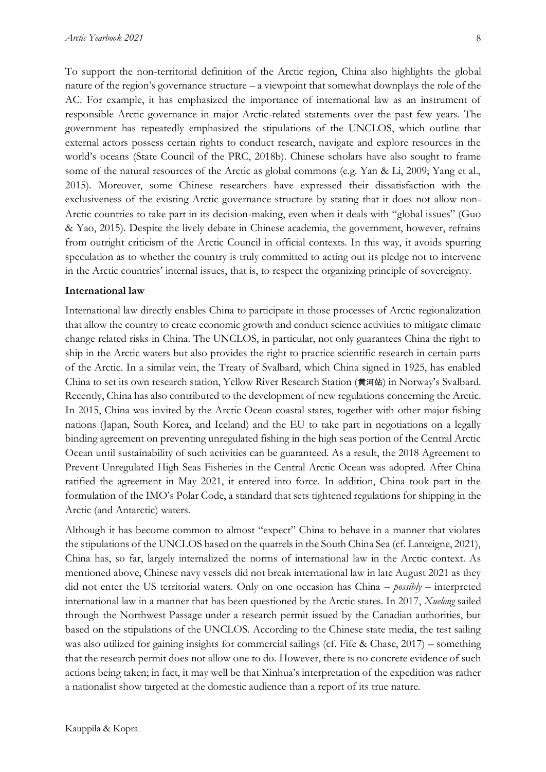8

To support the non-territorial definition of the Arctic region, China also highlights the global nature of the region's governance structure – a viewpoint that somewhat downplays the role of the AC. For example, it has emphasized the importance of international law as an instrument of responsible Arctic governance in major Arctic-related statements over the past few years. The government has repeatedly emphasized the stipulations of the UNCLOS, which outline that external actors possess certain rights to conduct research, navigate and explore resources in the world's oceans (State Council of the PRC, 2018b). Chinese scholars have also sought to frame some of the natural resources of the Arctic as global commons (e.g. Yan & Li, 2009; Yang et al., 2015). Moreover, some Chinese researchers have expressed their dissatisfaction with the exclusiveness of the existing Arctic governance structure by stating that it does not allow non-Arctic countries to take part in its decision-making, even when it deals with "global issues" (Guo & Yao, 2015). Despite the lively debate in Chinese academia, the government, however, refrains from outright criticism of the Arctic Council in official contexts. In this way, it avoids spurring speculation as to whether the country is truly committed to acting out its pledge not to intervene in the Arctic countries' internal issues, that is, to respect the organizing principle of sovereignty.

#### **International law**

International law directly enables China to participate in those processes of Arctic regionalization that allow the country to create economic growth and conduct science activities to mitigate climate change related risks in China. The UNCLOS, in particular, not only guarantees China the right to ship in the Arctic waters but also provides the right to practice scientific research in certain parts of the Arctic. In a similar vein, the Treaty of Svalbard, which China signed in 1925, has enabled China to set its own research station, Yellow River Research Station (黄河站) in Norway's Svalbard. Recently, China has also contributed to the development of new regulations concerning the Arctic. In 2015, China was invited by the Arctic Ocean coastal states, together with other major fishing nations (Japan, South Korea, and Iceland) and the EU to take part in negotiations on a legally binding agreement on preventing unregulated fishing in the high seas portion of the Central Arctic Ocean until sustainability of such activities can be guaranteed. As a result, the 2018 Agreement to Prevent Unregulated High Seas Fisheries in the Central Arctic Ocean was adopted. After China ratified the agreement in May 2021, it entered into force. In addition, China took part in the formulation of the IMO's Polar Code, a standard that sets tightened regulations for shipping in the Arctic (and Antarctic) waters.

Although it has become common to almost "expect" China to behave in a manner that violates the stipulations of the UNCLOS based on the quarrels in the South China Sea (cf. Lanteigne, 2021), China has, so far, largely internalized the norms of international law in the Arctic context. As mentioned above, Chinese navy vessels did not break international law in late August 2021 as they did not enter the US territorial waters. Only on one occasion has China – *possibly* – interpreted international law in a manner that has been questioned by the Arctic states. In 2017, *Xuelong* sailed through the Northwest Passage under a research permit issued by the Canadian authorities, but based on the stipulations of the UNCLOS. According to the Chinese state media, the test sailing was also utilized for gaining insights for commercial sailings (cf. Fife & Chase, 2017) – something that the research permit does not allow one to do. However, there is no concrete evidence of such actions being taken; in fact, it may well be that Xinhua's interpretation of the expedition was rather a nationalist show targeted at the domestic audience than a report of its true nature.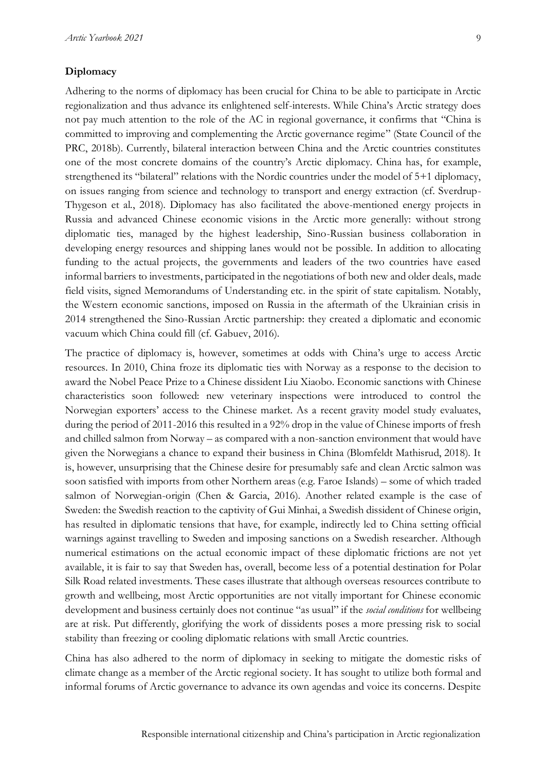#### **Diplomacy**

Adhering to the norms of diplomacy has been crucial for China to be able to participate in Arctic regionalization and thus advance its enlightened self-interests. While China's Arctic strategy does not pay much attention to the role of the AC in regional governance, it confirms that "China is committed to improving and complementing the Arctic governance regime" (State Council of the PRC, 2018b). Currently, bilateral interaction between China and the Arctic countries constitutes one of the most concrete domains of the country's Arctic diplomacy. China has, for example, strengthened its "bilateral" relations with the Nordic countries under the model of 5+1 diplomacy, on issues ranging from science and technology to transport and energy extraction (cf. Sverdrup-Thygeson et al., 2018). Diplomacy has also facilitated the above-mentioned energy projects in Russia and advanced Chinese economic visions in the Arctic more generally: without strong diplomatic ties, managed by the highest leadership, Sino-Russian business collaboration in developing energy resources and shipping lanes would not be possible. In addition to allocating funding to the actual projects, the governments and leaders of the two countries have eased informal barriers to investments, participated in the negotiations of both new and older deals, made field visits, signed Memorandums of Understanding etc. in the spirit of state capitalism. Notably, the Western economic sanctions, imposed on Russia in the aftermath of the Ukrainian crisis in 2014 strengthened the Sino-Russian Arctic partnership: they created a diplomatic and economic vacuum which China could fill (cf. Gabuev, 2016).

The practice of diplomacy is, however, sometimes at odds with China's urge to access Arctic resources. In 2010, China froze its diplomatic ties with Norway as a response to the decision to award the Nobel Peace Prize to a Chinese dissident Liu Xiaobo. Economic sanctions with Chinese characteristics soon followed: new veterinary inspections were introduced to control the Norwegian exporters' access to the Chinese market. As a recent gravity model study evaluates, during the period of 2011-2016 this resulted in a 92% drop in the value of Chinese imports of fresh and chilled salmon from Norway – as compared with a non-sanction environment that would have given the Norwegians a chance to expand their business in China (Blomfeldt Mathisrud, 2018). It is, however, unsurprising that the Chinese desire for presumably safe and clean Arctic salmon was soon satisfied with imports from other Northern areas (e.g. Faroe Islands) – some of which traded salmon of Norwegian-origin (Chen & Garcia, 2016). Another related example is the case of Sweden: the Swedish reaction to the captivity of Gui Minhai, a Swedish dissident of Chinese origin, has resulted in diplomatic tensions that have, for example, indirectly led to China setting official warnings against travelling to Sweden and imposing sanctions on a Swedish researcher. Although numerical estimations on the actual economic impact of these diplomatic frictions are not yet available, it is fair to say that Sweden has, overall, become less of a potential destination for Polar Silk Road related investments. These cases illustrate that although overseas resources contribute to growth and wellbeing, most Arctic opportunities are not vitally important for Chinese economic development and business certainly does not continue "as usual" if the *social conditions* for wellbeing are at risk. Put differently, glorifying the work of dissidents poses a more pressing risk to social stability than freezing or cooling diplomatic relations with small Arctic countries.

China has also adhered to the norm of diplomacy in seeking to mitigate the domestic risks of climate change as a member of the Arctic regional society. It has sought to utilize both formal and informal forums of Arctic governance to advance its own agendas and voice its concerns. Despite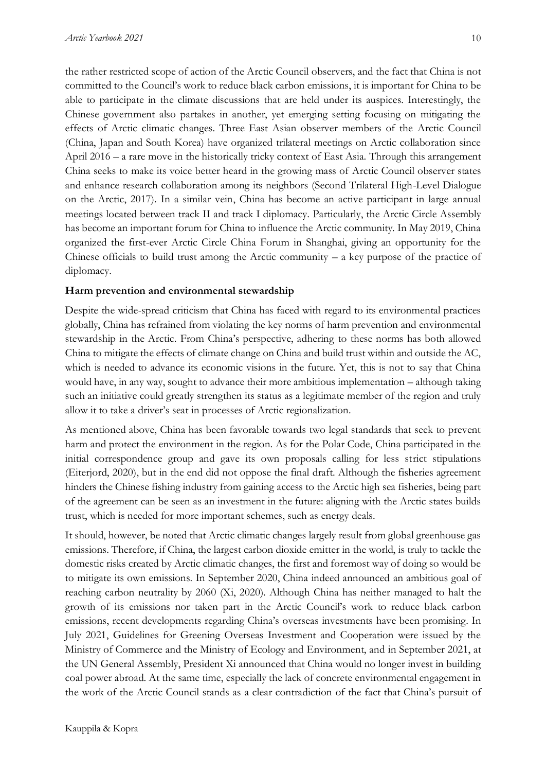the rather restricted scope of action of the Arctic Council observers, and the fact that China is not committed to the Council's work to reduce black carbon emissions, it is important for China to be able to participate in the climate discussions that are held under its auspices. Interestingly, the Chinese government also partakes in another, yet emerging setting focusing on mitigating the effects of Arctic climatic changes. Three East Asian observer members of the Arctic Council (China, Japan and South Korea) have organized trilateral meetings on Arctic collaboration since April 2016 – a rare move in the historically tricky context of East Asia. Through this arrangement China seeks to make its voice better heard in the growing mass of Arctic Council observer states and enhance research collaboration among its neighbors (Second Trilateral High-Level Dialogue on the Arctic, 2017). In a similar vein, China has become an active participant in large annual meetings located between track II and track I diplomacy. Particularly, the Arctic Circle Assembly has become an important forum for China to influence the Arctic community. In May 2019, China organized the first-ever Arctic Circle China Forum in Shanghai, giving an opportunity for the Chinese officials to build trust among the Arctic community  $-$  a key purpose of the practice of diplomacy.

#### **Harm prevention and environmental stewardship**

Despite the wide-spread criticism that China has faced with regard to its environmental practices globally, China has refrained from violating the key norms of harm prevention and environmental stewardship in the Arctic. From China's perspective, adhering to these norms has both allowed China to mitigate the effects of climate change on China and build trust within and outside the AC, which is needed to advance its economic visions in the future. Yet, this is not to say that China would have, in any way, sought to advance their more ambitious implementation – although taking such an initiative could greatly strengthen its status as a legitimate member of the region and truly allow it to take a driver's seat in processes of Arctic regionalization.

As mentioned above, China has been favorable towards two legal standards that seek to prevent harm and protect the environment in the region. As for the Polar Code, China participated in the initial correspondence group and gave its own proposals calling for less strict stipulations (Eiterjord, 2020), but in the end did not oppose the final draft. Although the fisheries agreement hinders the Chinese fishing industry from gaining access to the Arctic high sea fisheries, being part of the agreement can be seen as an investment in the future: aligning with the Arctic states builds trust, which is needed for more important schemes, such as energy deals.

It should, however, be noted that Arctic climatic changes largely result from global greenhouse gas emissions. Therefore, if China, the largest carbon dioxide emitter in the world, is truly to tackle the domestic risks created by Arctic climatic changes, the first and foremost way of doing so would be to mitigate its own emissions. In September 2020, China indeed announced an ambitious goal of reaching carbon neutrality by 2060 (Xi, 2020). Although China has neither managed to halt the growth of its emissions nor taken part in the Arctic Council's work to reduce black carbon emissions, recent developments regarding China's overseas investments have been promising. In July 2021, Guidelines for Greening Overseas Investment and Cooperation were issued by the Ministry of Commerce and the Ministry of Ecology and Environment, and in September 2021, at the UN General Assembly, President Xi announced that China would no longer invest in building coal power abroad. At the same time, especially the lack of concrete environmental engagement in the work of the Arctic Council stands as a clear contradiction of the fact that China's pursuit of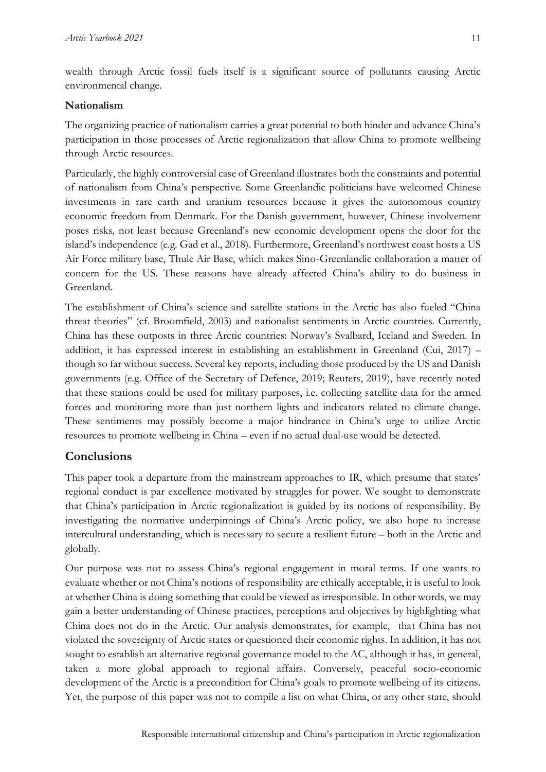wealth through Arctic fossil fuels itself is a significant source of pollutants causing Arctic environmental change.

#### **Nationalism**

The organizing practice of nationalism carries a great potential to both hinder and advance China's participation in those processes of Arctic regionalization that allow China to promote wellbeing through Arctic resources.

Particularly, the highly controversial case of Greenland illustrates both the constraints and potential of nationalism from China's perspective. Some Greenlandic politicians have welcomed Chinese investments in rare earth and uranium resources because it gives the autonomous country economic freedom from Denmark. For the Danish government, however, Chinese involvement poses risks, not least because Greenland's new economic development opens the door for the island's independence (e.g. Gad et al., 2018). Furthermore, Greenland's northwest coast hosts a US Air Force military base, Thule Air Base, which makes Sino-Greenlandic collaboration a matter of concern for the US. These reasons have already affected China's ability to do business in Greenland.

The establishment of China's science and satellite stations in the Arctic has also fueled "China threat theories" (cf. Broomfield, 2003) and nationalist sentiments in Arctic countries. Currently, China has these outposts in three Arctic countries: Norway's Svalbard, Iceland and Sweden. In addition, it has expressed interest in establishing an establishment in Greenland (Cui, 2017) – though so far without success. Several key reports, including those produced by the US and Danish governments (e.g. Office of the Secretary of Defence, 2019; Reuters, 2019), have recently noted that these stations could be used for military purposes, i.e. collecting satellite data for the armed forces and monitoring more than just northern lights and indicators related to climate change. These sentiments may possibly become a major hindrance in China's urge to utilize Arctic resources to promote wellbeing in China – even if no actual dual-use would be detected.

## **Conclusions**

This paper took a departure from the mainstream approaches to IR, which presume that states' regional conduct is par excellence motivated by struggles for power. We sought to demonstrate that China's participation in Arctic regionalization is guided by its notions of responsibility. By investigating the normative underpinnings of China's Arctic policy, we also hope to increase intercultural understanding, which is necessary to secure a resilient future – both in the Arctic and globally.

Our purpose was not to assess China's regional engagement in moral terms. If one wants to evaluate whether or not China's notions of responsibility are ethically acceptable, it is useful to look at whether China is doing something that could be viewed as irresponsible. In other words, we may gain a better understanding of Chinese practices, perceptions and objectives by highlighting what China does not do in the Arctic. Our analysis demonstrates, for example, that China has not violated the sovereignty of Arctic states or questioned their economic rights. In addition, it has not sought to establish an alternative regional governance model to the AC, although it has, in general, taken a more global approach to regional affairs. Conversely, peaceful socio-economic development of the Arctic is a precondition for China's goals to promote wellbeing of its citizens. Yet, the purpose of this paper was not to compile a list on what China, or any other state, should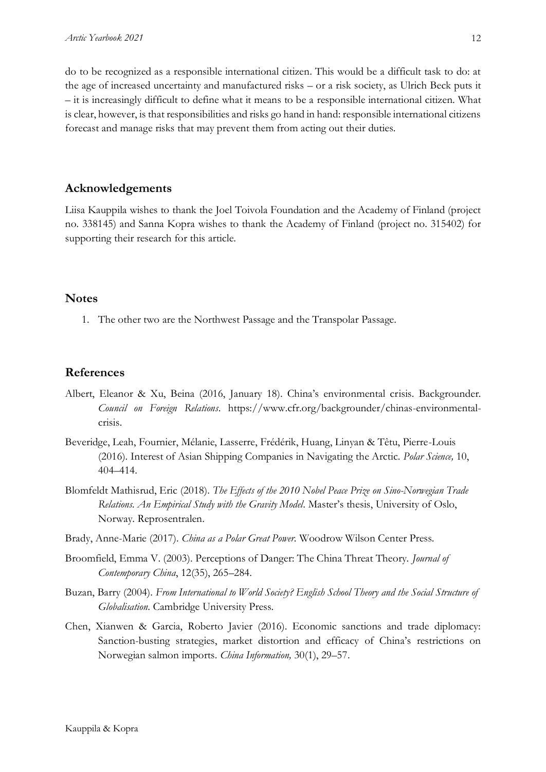do to be recognized as a responsible international citizen. This would be a difficult task to do: at the age of increased uncertainty and manufactured risks – or a risk society, as Ulrich Beck puts it – it is increasingly difficult to define what it means to be a responsible international citizen. What is clear, however, is that responsibilities and risks go hand in hand: responsible international citizens forecast and manage risks that may prevent them from acting out their duties.

#### **Acknowledgements**

Liisa Kauppila wishes to thank the Joel Toivola Foundation and the Academy of Finland (project no. 338145) and Sanna Kopra wishes to thank the Academy of Finland (project no. 315402) for supporting their research for this article.

#### **Notes**

1. The other two are the Northwest Passage and the Transpolar Passage.

#### **References**

- Albert, Eleanor & Xu, Beina (2016, January 18). China's environmental crisis. Backgrounder. *Council on Foreign Relations*. https://www.cfr.org/backgrounder/chinas-environmentalcrisis.
- Beveridge, Leah, Fournier, Mélanie, Lasserre, Frédérik, Huang, Linyan & Têtu, Pierre-Louis (2016). Interest of Asian Shipping Companies in Navigating the Arctic. *Polar Science,* 10, 404–414.
- Blomfeldt Mathisrud, Eric (2018). *The Effects of the 2010 Nobel Peace Prize on Sino-Norwegian Trade Relations. An Empirical Study with the Gravity Model*. Master's thesis, University of Oslo, Norway. Reprosentralen.
- Brady, Anne-Marie (2017). *China as a Polar Great Power.* Woodrow Wilson Center Press.
- Broomfield, Emma V. (2003). Perceptions of Danger: The China Threat Theory. *Journal of Contemporary China*, 12(35), 265–284.
- Buzan, Barry (2004). *From International to World Society? English School Theory and the Social Structure of Globalisation*. Cambridge University Press.
- Chen, Xianwen & Garcia, Roberto Javier (2016). Economic sanctions and trade diplomacy: Sanction-busting strategies, market distortion and efficacy of China's restrictions on Norwegian salmon imports. *China Information,* 30(1), 29–57.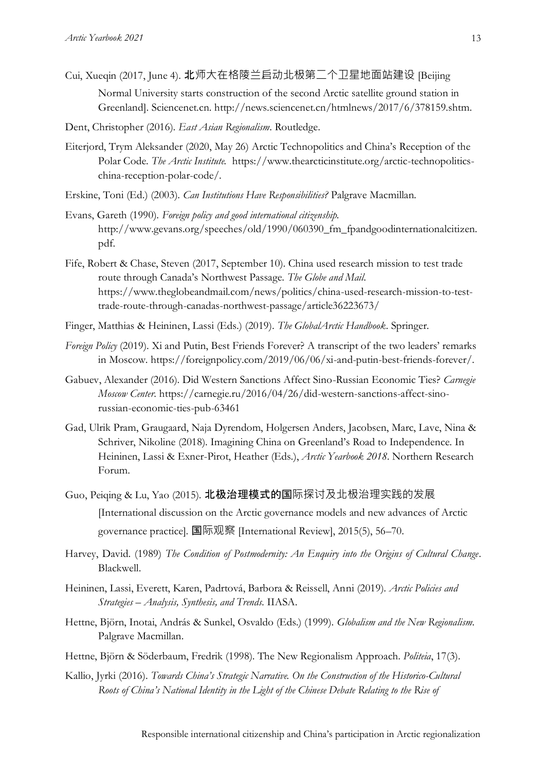- Cui, Xueqin (2017, June 4). 北师大在格陵兰启动北极第二个卫星地面站建设 [Beijing Normal University starts construction of the second Arctic satellite ground station in Greenland]. Sciencenet.cn. http://news.sciencenet.cn/htmlnews/2017/6/378159.shtm.
- Dent, Christopher (2016). *East Asian Regionalism*. Routledge.
- Eiterjord, Trym Aleksander (2020, May 26) Arctic Technopolitics and China's Reception of the Polar Code. *The Arctic Institute.* https://www.thearcticinstitute.org/arctic-technopoliticschina-reception-polar-code/.
- Erskine, Toni (Ed.) (2003). *Can Institutions Have Responsibilities?* Palgrave Macmillan.
- Evans, Gareth (1990). *Foreign policy and good international citizenship.*  http://www.gevans.org/speeches/old/1990/060390\_fm\_fpandgoodinternationalcitizen. pdf.
- Fife, Robert & Chase, Steven (2017, September 10). China used research mission to test trade route through Canada's Northwest Passage. *The Globe and Mail*. https://www.theglobeandmail.com/news/politics/china-used-research-mission-to-testtrade-route-through-canadas-northwest-passage/article36223673/
- Finger, Matthias & Heininen, Lassi (Eds.) (2019). *The GlobalArctic Handbook*. Springer.
- *Foreign Policy* (2019). Xi and Putin, Best Friends Forever? A transcript of the two leaders' remarks in Moscow. https://foreignpolicy.com/2019/06/06/xi-and-putin-best-friends-forever/.
- Gabuev, Alexander (2016). Did Western Sanctions Affect Sino-Russian Economic Ties? *Carnegie Moscow Center*. https://carnegie.ru/2016/04/26/did-western-sanctions-affect-sinorussian-economic-ties-pub-63461
- Gad, Ulrik Pram, Graugaard, Naja Dyrendom, Holgersen Anders, Jacobsen, Marc, Lave, Nina & Schriver, Nikoline (2018). Imagining China on Greenland's Road to Independence. In Heininen, Lassi & Exner-Pirot, Heather (Eds.), *Arctic Yearbook 2018*. Northern Research Forum.
- Guo, Peiqing & Lu, Yao (2015). **北极治理模式的国**际探讨及北极治理实践的发展 [International discussion on the Arctic governance models and new advances of Arctic governance practice]. 国际观察 [International Review], 2015(5), 56–70.
- Harvey, David. (1989) *The Condition of Postmodernity: An Enquiry into the Origins of Cultural Change*. Blackwell.
- Heininen, Lassi, Everett, Karen, Padrtová, Barbora & Reissell, Anni (2019). *Arctic Policies and Strategies – Analysis, Synthesis, and Trends*. IIASA.
- Hettne, Björn, Inotai, András & Sunkel, Osvaldo (Eds.) (1999). *Globalism and the New Regionalism*. Palgrave Macmillan.
- Hettne, Björn & Söderbaum, Fredrik (1998). The New Regionalism Approach. *Politeia*, 17(3).
- Kallio, Jyrki (2016). *Towards China's Strategic Narrative. On the Construction of the Historico-Cultural Roots of China's National Identity in the Light of the Chinese Debate Relating to the Rise of*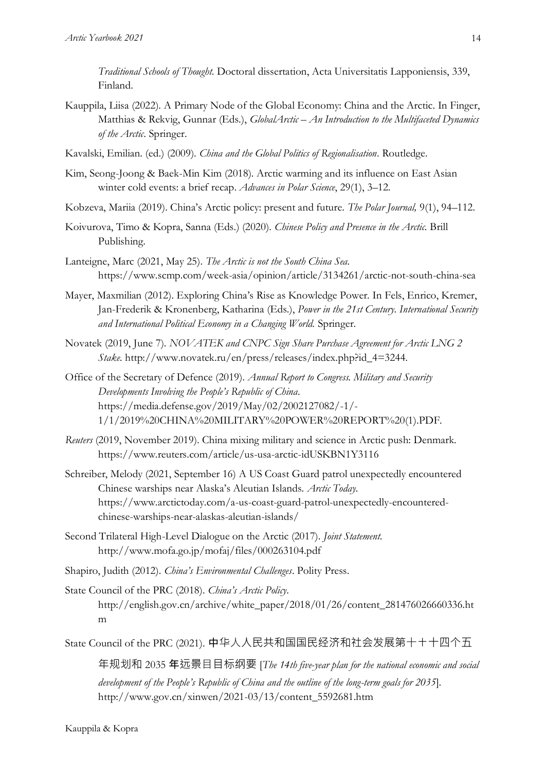*Traditional Schools of Thought*. Doctoral dissertation, Acta Universitatis Lapponiensis, 339, Finland.

- Kauppila, Liisa (2022). A Primary Node of the Global Economy: China and the Arctic. In Finger, Matthias & Rekvig, Gunnar (Eds.), *GlobalArctic - An Introduction to the Multifaceted Dynamics of the Arctic*. Springer.
- Kavalski, Emilian. (ed.) (2009). *China and the Global Politics of Regionalisation*. Routledge.
- Kim, Seong-Joong & Baek-Min Kim (2018). Arctic warming and its influence on East Asian winter cold events: a brief recap. *Advances in Polar Science*, 29(1), 3–12.
- Kobzeva, Mariia (2019). China's Arctic policy: present and future. *The Polar Journal,* 9(1), 94–112.
- Koivurova, Timo & Kopra, Sanna (Eds.) (2020). *Chinese Policy and Presence in the Arctic.* Brill Publishing.
- Lanteigne, Marc (2021, May 25). *The Arctic is not the South China Sea.*  https://www.scmp.com/week-asia/opinion/article/3134261/arctic-not-south-china-sea
- Mayer, Maxmilian (2012). Exploring China's Rise as Knowledge Power. In Fels, Enrico, Kremer, Jan-Frederik & Kronenberg, Katharina (Eds.), *Power in the 21st Century. International Security and International Political Economy in a Changing World.* Springer.
- Novatek (2019, June 7). *NOVATEK and CNPC Sign Share Purchase Agreement for Arctic LNG 2 Stake.* http://www.novatek.ru/en/press/releases/index.php?id\_4=3244.
- Office of the Secretary of Defence (2019). *Annual Report to Congress. Military and Security Developments Involving the People's Republic of China*. https://media.defense.gov/2019/May/02/2002127082/-1/- 1/1/2019%20CHINA%20MILITARY%20POWER%20REPORT%20(1).PDF.
- *Reuters* (2019, November 2019). China mixing military and science in Arctic push: Denmark. https://www.reuters.com/article/us-usa-arctic-idUSKBN1Y3116
- Schreiber, Melody (2021, September 16) A US Coast Guard patrol unexpectedly encountered Chinese warships near Alaska's Aleutian Islands. *Arctic Today.*  https://www.arctictoday.com/a-us-coast-guard-patrol-unexpectedly-encounteredchinese-warships-near-alaskas-aleutian-islands/
- Second Trilateral High-Level Dialogue on the Arctic (2017). *Joint Statement*. http://www.mofa.go.jp/mofaj/files/000263104.pdf
- Shapiro, Judith (2012). *China's Environmental Challenges*. Polity Press.
- State Council of the PRC (2018). *China's Arctic Policy*. http://english.gov.cn/archive/white\_paper/2018/01/26/content\_281476026660336.ht m

State Council of the PRC (2021). 中华人人民共和国国民经济和社会发展第十十十四个五

年规划和 2035 年远景⽬目标纲要 [*The 14th five-year plan for the national economic and social development of the People's Republic of China and the outline of the long-term goals for 2035*]. http://www.gov.cn/xinwen/2021-03/13/content\_5592681.htm